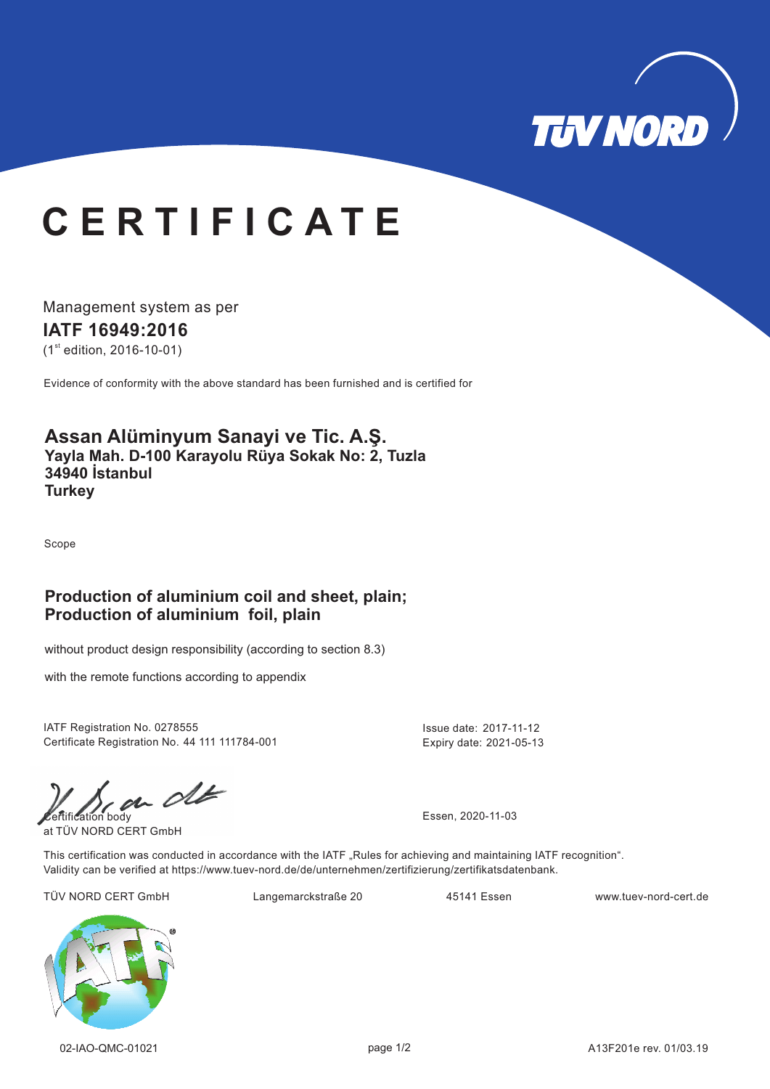

# **C E R T I F I C A T E**

Management system as per **IATF 16949: 16 20**

 $(1<sup>st</sup>$  edition, 2016-10-01)

Evidence of conformity with the above standard has been furnished and is certified for

#### **Assan Alüminyum Sanayi ve Tic. A.Ş. Yayla Mah. D-100 Karayolu Rüya Sokak No: 2, Tuzla 34940 İstanbul Turkey**

Scope

### **Production of aluminium coil and sheet, plain; Production of aluminium foil, plain**

without product design responsibility (according to section 8.3)

with the remote functions according to appendix

IATF Registration No. 0278555 Issue date: 2017-11-12 Certificate Registration No. 44 111 111784-001

Expiry date: 2021-05-13

 $\omega$  of  $\omega$ 

at TÜV NORD CERT GmbH

This certification was conducted in accordance with the IATF "Rules for achieving and maintaining IATF recognition". Validity can be verified at https://www.tuev-nord.de/de/unternehmen/zertifizierung/zertifikatsdatenbank.

TÜV NORD CERT GmbH Langemarckstraße 20 45141 Essen www.tuev-nord-cert.de